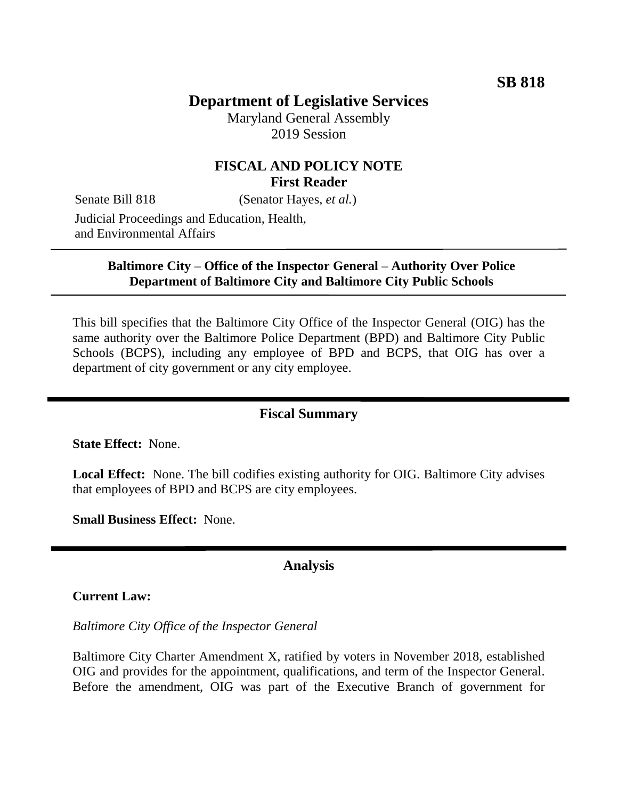# **Department of Legislative Services**

Maryland General Assembly 2019 Session

## **FISCAL AND POLICY NOTE First Reader**

Senate Bill 818 (Senator Hayes, *et al.*)

Judicial Proceedings and Education, Health, and Environmental Affairs

#### **Baltimore City – Office of the Inspector General – Authority Over Police Department of Baltimore City and Baltimore City Public Schools**

This bill specifies that the Baltimore City Office of the Inspector General (OIG) has the same authority over the Baltimore Police Department (BPD) and Baltimore City Public Schools (BCPS), including any employee of BPD and BCPS, that OIG has over a department of city government or any city employee.

## **Fiscal Summary**

**State Effect:** None.

**Local Effect:** None. The bill codifies existing authority for OIG. Baltimore City advises that employees of BPD and BCPS are city employees.

**Small Business Effect:** None.

### **Analysis**

#### **Current Law:**

*Baltimore City Office of the Inspector General*

Baltimore City Charter Amendment X, ratified by voters in November 2018, established OIG and provides for the appointment, qualifications, and term of the Inspector General. Before the amendment, OIG was part of the Executive Branch of government for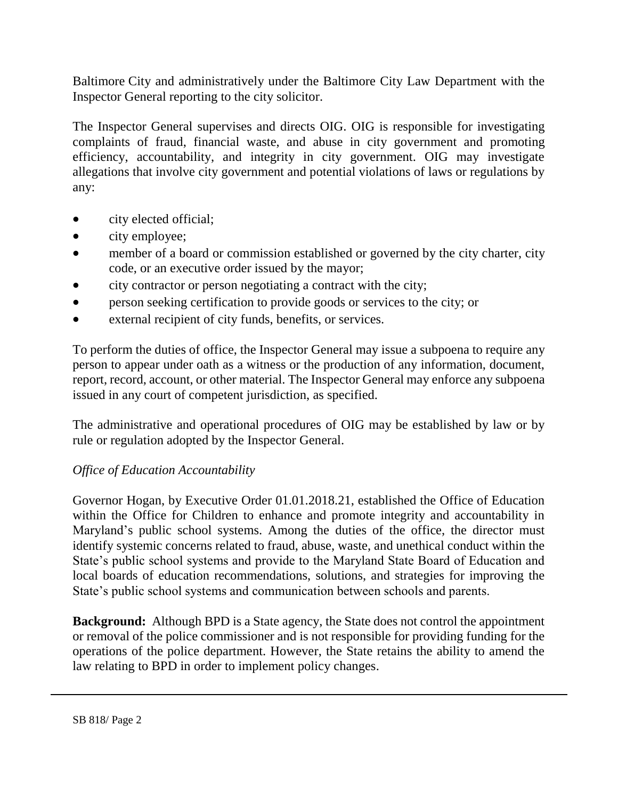Baltimore City and administratively under the Baltimore City Law Department with the Inspector General reporting to the city solicitor.

The Inspector General supervises and directs OIG. OIG is responsible for investigating complaints of fraud, financial waste, and abuse in city government and promoting efficiency, accountability, and integrity in city government. OIG may investigate allegations that involve city government and potential violations of laws or regulations by any:

- city elected official;
- city employee;
- member of a board or commission established or governed by the city charter, city code, or an executive order issued by the mayor;
- city contractor or person negotiating a contract with the city;
- person seeking certification to provide goods or services to the city; or
- external recipient of city funds, benefits, or services.

To perform the duties of office, the Inspector General may issue a subpoena to require any person to appear under oath as a witness or the production of any information, document, report, record, account, or other material. The Inspector General may enforce any subpoena issued in any court of competent jurisdiction, as specified.

The administrative and operational procedures of OIG may be established by law or by rule or regulation adopted by the Inspector General.

### *Office of Education Accountability*

Governor Hogan, by Executive Order 01.01.2018.21, established the Office of Education within the Office for Children to enhance and promote integrity and accountability in Maryland's public school systems. Among the duties of the office, the director must identify systemic concerns related to fraud, abuse, waste, and unethical conduct within the State's public school systems and provide to the Maryland State Board of Education and local boards of education recommendations, solutions, and strategies for improving the State's public school systems and communication between schools and parents.

**Background:** Although BPD is a State agency, the State does not control the appointment or removal of the police commissioner and is not responsible for providing funding for the operations of the police department. However, the State retains the ability to amend the law relating to BPD in order to implement policy changes.